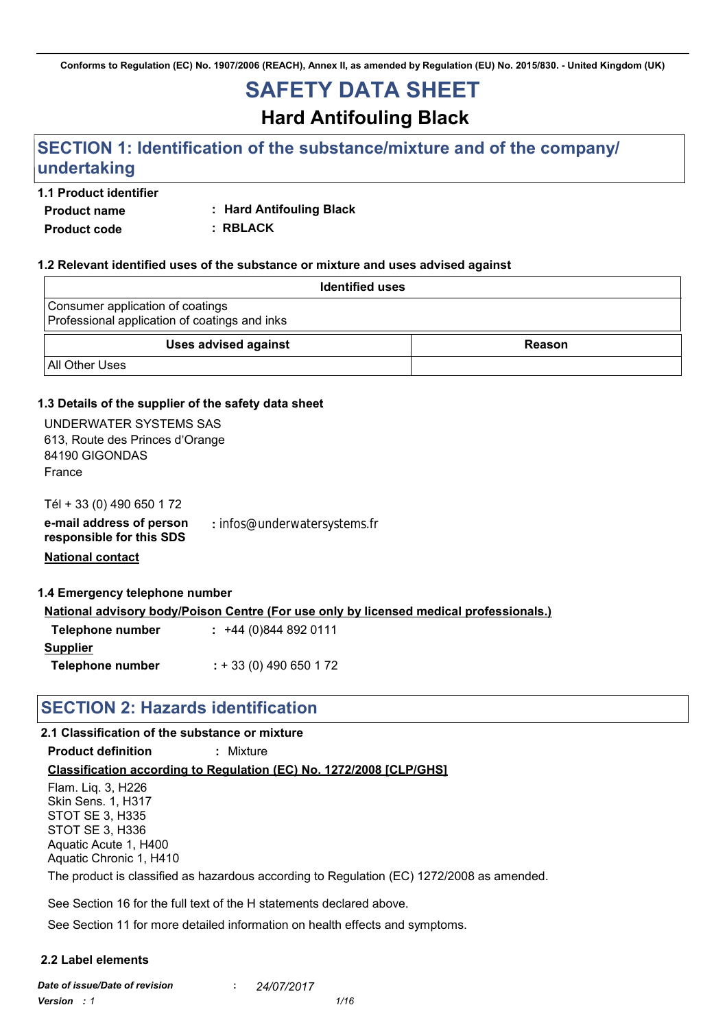**Conforms to Regulation (EC) No. 1907/2006 (REACH), Annex II, as amended by Regulation (EU) No. 2015/830. - United Kingdom (UK)**

# **SAFETY DATA SHEET**

**Hard Antifouling Black**

# **SECTION 1: Identification of the substance/mixture and of the company/ undertaking**

#### **1.1 Product identifier**

**Product name**

**: Hard Antifouling Black**

**Product code**

**: RBLACK**

#### **1.2 Relevant identified uses of the substance or mixture and uses advised against**

| <b>Identified uses</b>                                                            |        |  |  |
|-----------------------------------------------------------------------------------|--------|--|--|
| Consumer application of coatings<br>Professional application of coatings and inks |        |  |  |
| <b>Uses advised against</b>                                                       | Reason |  |  |
| All Other Uses                                                                    |        |  |  |

#### **1.3 Details of the supplier of the safety data sheet**

| UNDERWATER SYSTEMS SAS<br>613, Route des Princes d'Orange<br>84190 GIGONDAS<br>France |                                                                                               |
|---------------------------------------------------------------------------------------|-----------------------------------------------------------------------------------------------|
| Tél + 33 (0) 490 650 172<br>e-mail address of person<br>responsible for this SDS      | : infos@underwatersystems.fr                                                                  |
| <b>National contact</b>                                                               |                                                                                               |
| 1.4 Emergency telephone number                                                        |                                                                                               |
|                                                                                       | <b>National advisory body/Poison Centre (For use only by licensed medical professionals.)</b> |
| <b>Telephone number</b>                                                               | $: +44(0)8448920111$                                                                          |
| <b>Supplier</b>                                                                       |                                                                                               |
| Telephone number                                                                      | $: +33(0)$ 490 650 1 72                                                                       |

# **SECTION 2: Hazards identification**

#### **2.1 Classification of the substance or mixture**

**Product definition :** Mixture

**Classification according to Regulation (EC) No. 1272/2008 [CLP/GHS]**

Flam. Liq. 3, H226 Skin Sens. 1, H317 STOT SE 3, H335 STOT SE 3, H336 Aquatic Acute 1, H400 Aquatic Chronic 1, H410

The product is classified as hazardous according to Regulation (EC) 1272/2008 as amended.

See Section 16 for the full text of the H statements declared above.

See Section 11 for more detailed information on health effects and symptoms.

#### **2.2 Label elements**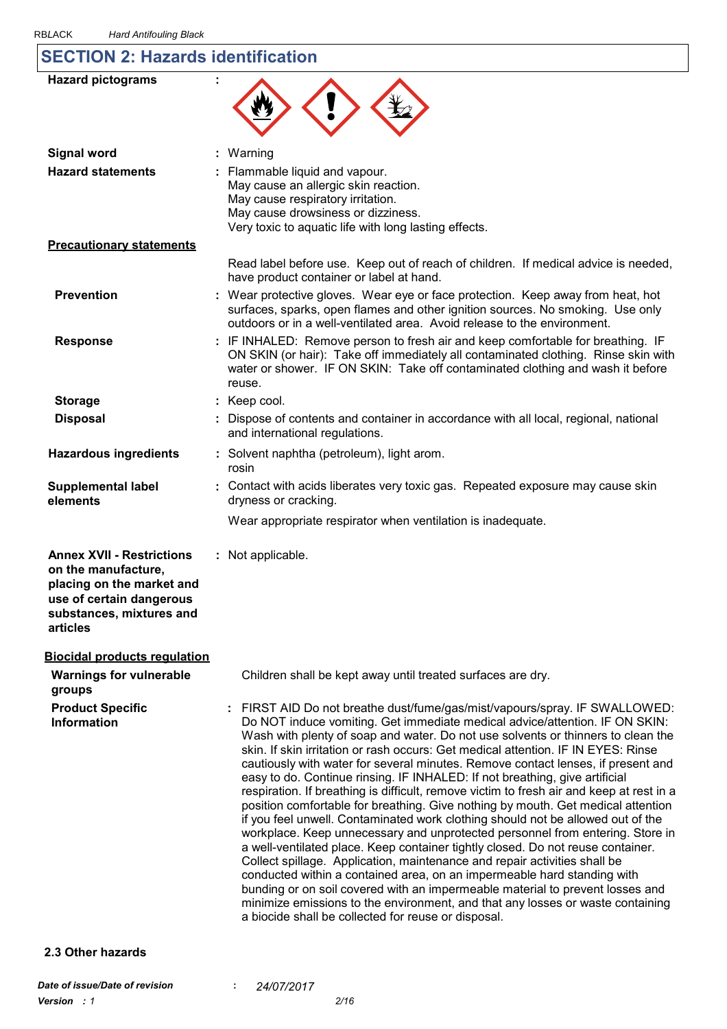# **SECTION 2: Hazards identification**

| <b>Hazard pictograms</b>                                                                                                                                 |                                                                                                                                                                                                                                                                                                                                                                                                                                                                                                                                                                                                                                                                                                                                                                                                                                                                                                                                                                                                                                                                                                                                                                                                                                                                                                                                |
|----------------------------------------------------------------------------------------------------------------------------------------------------------|--------------------------------------------------------------------------------------------------------------------------------------------------------------------------------------------------------------------------------------------------------------------------------------------------------------------------------------------------------------------------------------------------------------------------------------------------------------------------------------------------------------------------------------------------------------------------------------------------------------------------------------------------------------------------------------------------------------------------------------------------------------------------------------------------------------------------------------------------------------------------------------------------------------------------------------------------------------------------------------------------------------------------------------------------------------------------------------------------------------------------------------------------------------------------------------------------------------------------------------------------------------------------------------------------------------------------------|
| <b>Signal word</b>                                                                                                                                       | Warning                                                                                                                                                                                                                                                                                                                                                                                                                                                                                                                                                                                                                                                                                                                                                                                                                                                                                                                                                                                                                                                                                                                                                                                                                                                                                                                        |
| <b>Hazard statements</b>                                                                                                                                 | Flammable liquid and vapour.<br>May cause an allergic skin reaction.<br>May cause respiratory irritation.<br>May cause drowsiness or dizziness.<br>Very toxic to aquatic life with long lasting effects.                                                                                                                                                                                                                                                                                                                                                                                                                                                                                                                                                                                                                                                                                                                                                                                                                                                                                                                                                                                                                                                                                                                       |
| <b>Precautionary statements</b>                                                                                                                          |                                                                                                                                                                                                                                                                                                                                                                                                                                                                                                                                                                                                                                                                                                                                                                                                                                                                                                                                                                                                                                                                                                                                                                                                                                                                                                                                |
|                                                                                                                                                          | Read label before use. Keep out of reach of children. If medical advice is needed,<br>have product container or label at hand.                                                                                                                                                                                                                                                                                                                                                                                                                                                                                                                                                                                                                                                                                                                                                                                                                                                                                                                                                                                                                                                                                                                                                                                                 |
| <b>Prevention</b>                                                                                                                                        | : Wear protective gloves. Wear eye or face protection. Keep away from heat, hot<br>surfaces, sparks, open flames and other ignition sources. No smoking. Use only<br>outdoors or in a well-ventilated area. Avoid release to the environment.                                                                                                                                                                                                                                                                                                                                                                                                                                                                                                                                                                                                                                                                                                                                                                                                                                                                                                                                                                                                                                                                                  |
| <b>Response</b>                                                                                                                                          | : IF INHALED: Remove person to fresh air and keep comfortable for breathing. IF<br>ON SKIN (or hair): Take off immediately all contaminated clothing. Rinse skin with<br>water or shower. IF ON SKIN: Take off contaminated clothing and wash it before<br>reuse.                                                                                                                                                                                                                                                                                                                                                                                                                                                                                                                                                                                                                                                                                                                                                                                                                                                                                                                                                                                                                                                              |
| <b>Storage</b>                                                                                                                                           | : Keep cool.                                                                                                                                                                                                                                                                                                                                                                                                                                                                                                                                                                                                                                                                                                                                                                                                                                                                                                                                                                                                                                                                                                                                                                                                                                                                                                                   |
| <b>Disposal</b>                                                                                                                                          | Dispose of contents and container in accordance with all local, regional, national<br>and international regulations.                                                                                                                                                                                                                                                                                                                                                                                                                                                                                                                                                                                                                                                                                                                                                                                                                                                                                                                                                                                                                                                                                                                                                                                                           |
| <b>Hazardous ingredients</b>                                                                                                                             | : Solvent naphtha (petroleum), light arom.<br>rosin                                                                                                                                                                                                                                                                                                                                                                                                                                                                                                                                                                                                                                                                                                                                                                                                                                                                                                                                                                                                                                                                                                                                                                                                                                                                            |
| <b>Supplemental label</b><br>elements                                                                                                                    | : Contact with acids liberates very toxic gas. Repeated exposure may cause skin<br>dryness or cracking.                                                                                                                                                                                                                                                                                                                                                                                                                                                                                                                                                                                                                                                                                                                                                                                                                                                                                                                                                                                                                                                                                                                                                                                                                        |
|                                                                                                                                                          | Wear appropriate respirator when ventilation is inadequate.                                                                                                                                                                                                                                                                                                                                                                                                                                                                                                                                                                                                                                                                                                                                                                                                                                                                                                                                                                                                                                                                                                                                                                                                                                                                    |
| <b>Annex XVII - Restrictions</b><br>on the manufacture,<br>placing on the market and<br>use of certain dangerous<br>substances, mixtures and<br>articles | : Not applicable.                                                                                                                                                                                                                                                                                                                                                                                                                                                                                                                                                                                                                                                                                                                                                                                                                                                                                                                                                                                                                                                                                                                                                                                                                                                                                                              |
| <b>Biocidal products requlation</b>                                                                                                                      |                                                                                                                                                                                                                                                                                                                                                                                                                                                                                                                                                                                                                                                                                                                                                                                                                                                                                                                                                                                                                                                                                                                                                                                                                                                                                                                                |
| <b>Warnings for vulnerable</b><br>groups                                                                                                                 | Children shall be kept away until treated surfaces are dry.                                                                                                                                                                                                                                                                                                                                                                                                                                                                                                                                                                                                                                                                                                                                                                                                                                                                                                                                                                                                                                                                                                                                                                                                                                                                    |
| <b>Product Specific</b><br><b>Information</b>                                                                                                            | : FIRST AID Do not breathe dust/fume/gas/mist/vapours/spray. IF SWALLOWED:<br>Do NOT induce vomiting. Get immediate medical advice/attention. IF ON SKIN:<br>Wash with plenty of soap and water. Do not use solvents or thinners to clean the<br>skin. If skin irritation or rash occurs: Get medical attention. IF IN EYES: Rinse<br>cautiously with water for several minutes. Remove contact lenses, if present and<br>easy to do. Continue rinsing. IF INHALED: If not breathing, give artificial<br>respiration. If breathing is difficult, remove victim to fresh air and keep at rest in a<br>position comfortable for breathing. Give nothing by mouth. Get medical attention<br>if you feel unwell. Contaminated work clothing should not be allowed out of the<br>workplace. Keep unnecessary and unprotected personnel from entering. Store in<br>a well-ventilated place. Keep container tightly closed. Do not reuse container.<br>Collect spillage. Application, maintenance and repair activities shall be<br>conducted within a contained area, on an impermeable hard standing with<br>bunding or on soil covered with an impermeable material to prevent losses and<br>minimize emissions to the environment, and that any losses or waste containing<br>a biocide shall be collected for reuse or disposal. |
| 2.3 Other hazards                                                                                                                                        |                                                                                                                                                                                                                                                                                                                                                                                                                                                                                                                                                                                                                                                                                                                                                                                                                                                                                                                                                                                                                                                                                                                                                                                                                                                                                                                                |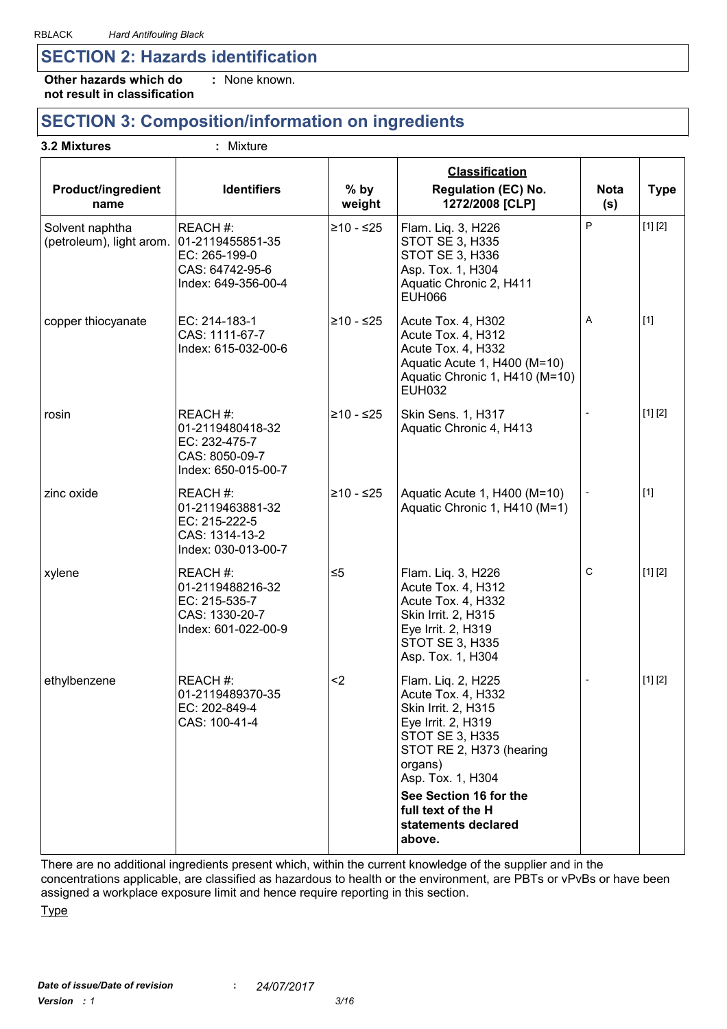## **SECTION 2: Hazards identification**

**Other hazards which do : not result in classification** : None known.

# **SECTION 3: Composition/information on ingredients**

| <b>Product/ingredient</b><br>name           | <b>Identifiers</b>                                                                      | $%$ by<br>weight | <b>Classification</b><br><b>Regulation (EC) No.</b><br>1272/2008 [CLP]                                                                                               | <b>Nota</b><br>(s) | <b>Type</b> |
|---------------------------------------------|-----------------------------------------------------------------------------------------|------------------|----------------------------------------------------------------------------------------------------------------------------------------------------------------------|--------------------|-------------|
| Solvent naphtha<br>(petroleum), light arom. | REACH #:<br>01-2119455851-35<br>EC: 265-199-0<br>CAS: 64742-95-6<br>Index: 649-356-00-4 | ≥10 - ≤25        | Flam. Liq. 3, H226<br>STOT SE 3, H335<br>STOT SE 3, H336<br>Asp. Tox. 1, H304<br>Aquatic Chronic 2, H411<br><b>EUH066</b>                                            | P                  | [1] [2]     |
| copper thiocyanate                          | EC: 214-183-1<br>CAS: 1111-67-7<br>Index: 615-032-00-6                                  | $≥10 - ≤25$      | Acute Tox. 4, H302<br>Acute Tox. 4, H312<br>Acute Tox. 4, H332<br>Aquatic Acute 1, H400 (M=10)<br>Aquatic Chronic 1, H410 (M=10)<br><b>EUH032</b>                    | A                  | $[1]$       |
| rosin                                       | REACH #:<br>01-2119480418-32<br>EC: 232-475-7<br>CAS: 8050-09-7<br>Index: 650-015-00-7  | ≥10 - ≤25        | <b>Skin Sens. 1, H317</b><br>Aquatic Chronic 4, H413                                                                                                                 |                    | [1] [2]     |
| zinc oxide                                  | REACH #:<br>01-2119463881-32<br>EC: 215-222-5<br>CAS: 1314-13-2<br>Index: 030-013-00-7  | ≥10 - ≤25        | Aquatic Acute 1, H400 (M=10)<br>Aquatic Chronic 1, H410 (M=1)                                                                                                        |                    | $[1]$       |
| xylene                                      | REACH #:<br>01-2119488216-32<br>EC: 215-535-7<br>CAS: 1330-20-7<br>Index: 601-022-00-9  | $\leq 5$         | Flam. Liq. 3, H226<br>Acute Tox. 4, H312<br>Acute Tox. 4, H332<br>Skin Irrit. 2, H315<br>Eye Irrit. 2, H319<br>STOT SE 3, H335<br>Asp. Tox. 1, H304                  | ${\bf C}$          | [1] [2]     |
| ethylbenzene                                | REACH #:<br>01-2119489370-35<br>EC: 202-849-4<br>CAS: 100-41-4                          | $2$              | Flam. Liq. 2, H225<br>Acute Tox. 4, H332<br>Skin Irrit. 2, H315<br>Eye Irrit. 2, H319<br>STOT SE 3, H335<br>STOT RE 2, H373 (hearing<br>organs)<br>Asp. Tox. 1, H304 |                    | [1] [2]     |
|                                             |                                                                                         |                  | See Section 16 for the<br>full text of the H<br>statements declared<br>above.                                                                                        |                    |             |

There are no additional ingredients present which, within the current knowledge of the supplier and in the concentrations applicable, are classified as hazardous to health or the environment, are PBTs or vPvBs or have been assigned a workplace exposure limit and hence require reporting in this section.

**Type**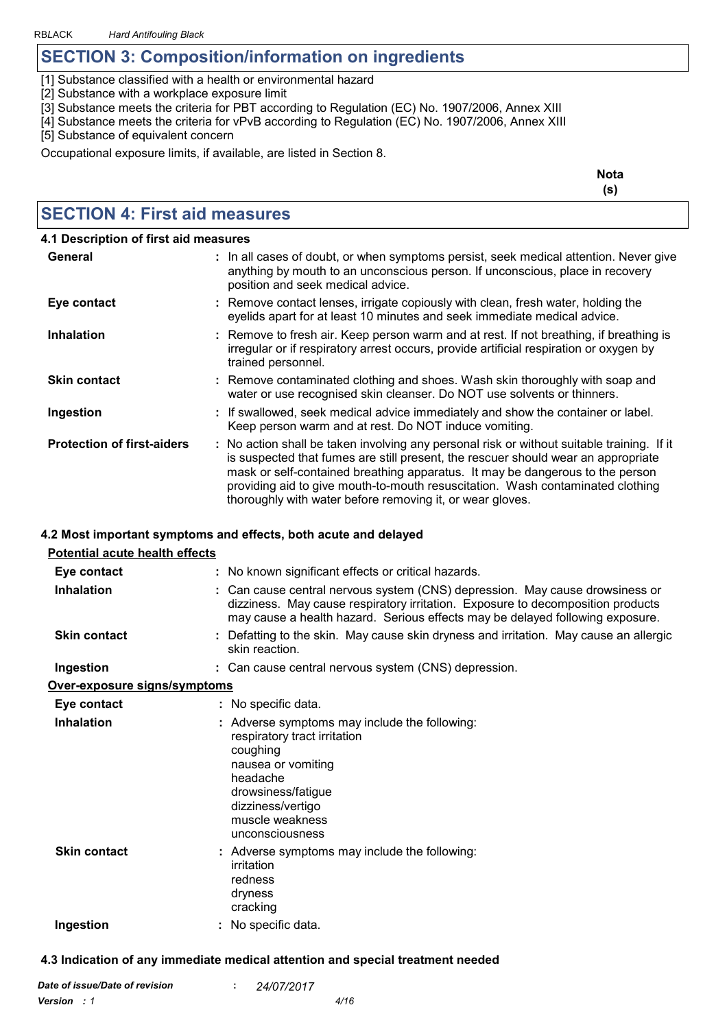# **SECTION 3: Composition/information on ingredients** BLACK Hard Antifouling Black<br>**SECTION 3: Composition/information on ingred**<br>[1] Substance classified with a health or environmental hazard<br>[2] Substance with a workplace exposure limit BLACK Hard Antifouling Black<br>**SECTION 3: Composition/informa**<br>[1] Substance classified with a health or environme<br>[2] Substance with a workplace exposure limit<br>[3] Substance meets the criteria for PBT according

BLACK Hard Antifouling Black<br> **SECTION 3: Composition/information on ingredients**<br>
[1] Substance classified with a health or environmental hazard<br>
[2] Substance with a workplace exposure limit<br>
[3] Substance meets the crit **SECTION 3: Composition/information on ingredients**<br>[1] Substance classified with a health or environmental hazard<br>[2] Substance with a workplace exposure limit<br>[3] Substance meets the criteria for PBT according to Regulat [1] Substance classified with a health or environmental hazard<br>[2] Substance with a workplace exposure limit<br>[3] Substance meets the criteria for PBT according to Regulation (EC) No. 1907/2006, Annex XIII<br>[4] Substance mee

Occupational exposure limits, if available, are listed in Section 8.

**Nota (s)**

### **SECTION 4: First aid measures**

| 4.1 Description of first aid measures |                                                                                                                                                                                                                                                                                                                                                                                                                 |
|---------------------------------------|-----------------------------------------------------------------------------------------------------------------------------------------------------------------------------------------------------------------------------------------------------------------------------------------------------------------------------------------------------------------------------------------------------------------|
| General                               | : In all cases of doubt, or when symptoms persist, seek medical attention. Never give<br>anything by mouth to an unconscious person. If unconscious, place in recovery<br>position and seek medical advice.                                                                                                                                                                                                     |
| Eye contact                           | : Remove contact lenses, irrigate copiously with clean, fresh water, holding the<br>eyelids apart for at least 10 minutes and seek immediate medical advice.                                                                                                                                                                                                                                                    |
| <b>Inhalation</b>                     | : Remove to fresh air. Keep person warm and at rest. If not breathing, if breathing is<br>irregular or if respiratory arrest occurs, provide artificial respiration or oxygen by<br>trained personnel.                                                                                                                                                                                                          |
| <b>Skin contact</b>                   | : Remove contaminated clothing and shoes. Wash skin thoroughly with soap and<br>water or use recognised skin cleanser. Do NOT use solvents or thinners.                                                                                                                                                                                                                                                         |
| Ingestion                             | : If swallowed, seek medical advice immediately and show the container or label.<br>Keep person warm and at rest. Do NOT induce vomiting.                                                                                                                                                                                                                                                                       |
| <b>Protection of first-aiders</b>     | : No action shall be taken involving any personal risk or without suitable training. If it<br>is suspected that fumes are still present, the rescuer should wear an appropriate<br>mask or self-contained breathing apparatus. It may be dangerous to the person<br>providing aid to give mouth-to-mouth resuscitation. Wash contaminated clothing<br>thoroughly with water before removing it, or wear gloves. |

#### **4.2 Most important symptoms and effects, both acute and delayed**

| <b>Potential acute health effects</b> |                                                                                                                                                                                                                                                  |
|---------------------------------------|--------------------------------------------------------------------------------------------------------------------------------------------------------------------------------------------------------------------------------------------------|
| Eye contact                           | : No known significant effects or critical hazards.                                                                                                                                                                                              |
| <b>Inhalation</b>                     | : Can cause central nervous system (CNS) depression. May cause drowsiness or<br>dizziness. May cause respiratory irritation. Exposure to decomposition products<br>may cause a health hazard. Serious effects may be delayed following exposure. |
| <b>Skin contact</b>                   | : Defatting to the skin. May cause skin dryness and irritation. May cause an allergic<br>skin reaction.                                                                                                                                          |
| Ingestion                             | : Can cause central nervous system (CNS) depression.                                                                                                                                                                                             |
| Over-exposure signs/symptoms          |                                                                                                                                                                                                                                                  |
| Eye contact                           | : No specific data.                                                                                                                                                                                                                              |
| <b>Inhalation</b>                     | : Adverse symptoms may include the following:<br>respiratory tract irritation<br>coughing<br>nausea or vomiting<br>headache<br>drowsiness/fatigue<br>dizziness/vertigo<br>muscle weakness<br>unconsciousness                                     |
| <b>Skin contact</b>                   | : Adverse symptoms may include the following:<br>irritation<br>redness<br>dryness<br>cracking                                                                                                                                                    |
| Ingestion                             | No specific data.                                                                                                                                                                                                                                |

#### **4.3 Indication of any immediate medical attention and special treatment needed**

| Date of issue/Date of revision |  | 24/07/2017 |      |
|--------------------------------|--|------------|------|
| <b>Version</b> : 1             |  |            | 4/16 |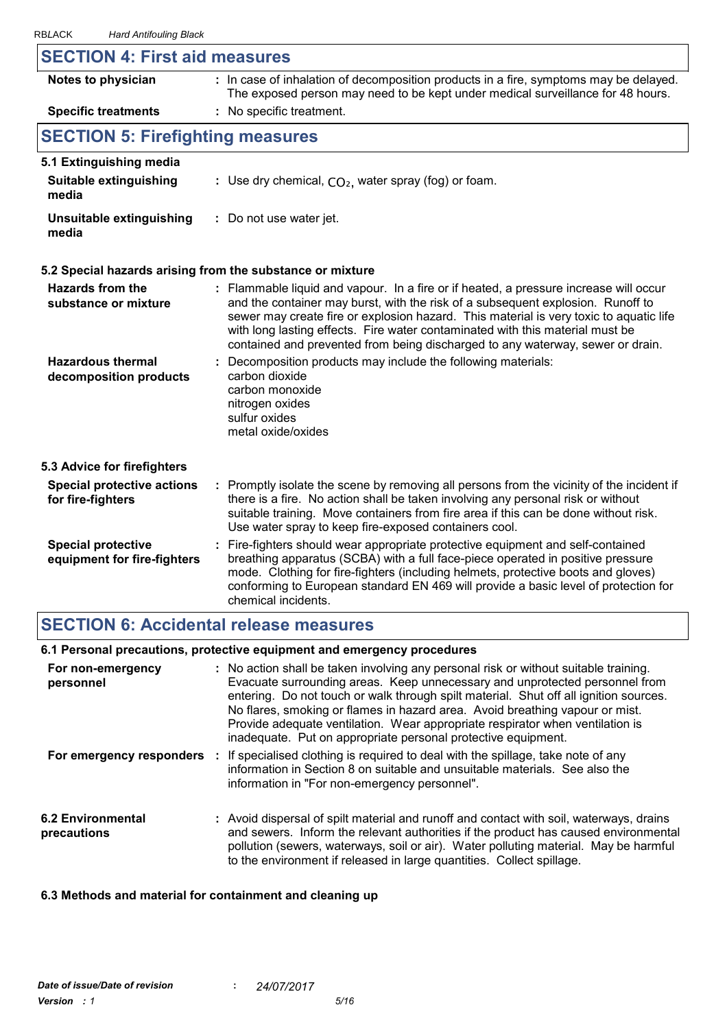| 10LAUN<br><b>Hard Antibountly Diack</b>                  |                                                                                                                                                                                                                                                                                                                                                                                                                                       |
|----------------------------------------------------------|---------------------------------------------------------------------------------------------------------------------------------------------------------------------------------------------------------------------------------------------------------------------------------------------------------------------------------------------------------------------------------------------------------------------------------------|
| <b>SECTION 4: First aid measures</b>                     |                                                                                                                                                                                                                                                                                                                                                                                                                                       |
| Notes to physician                                       | : In case of inhalation of decomposition products in a fire, symptoms may be delayed.<br>The exposed person may need to be kept under medical surveillance for 48 hours.                                                                                                                                                                                                                                                              |
| <b>Specific treatments</b>                               | : No specific treatment.                                                                                                                                                                                                                                                                                                                                                                                                              |
| <b>SECTION 5: Firefighting measures</b>                  |                                                                                                                                                                                                                                                                                                                                                                                                                                       |
| 5.1 Extinguishing media                                  |                                                                                                                                                                                                                                                                                                                                                                                                                                       |
| Suitable extinguishing<br>media                          | : Use dry chemical, $CO2$ , water spray (fog) or foam.                                                                                                                                                                                                                                                                                                                                                                                |
| <b>Unsuitable extinguishing</b><br>media                 | : Do not use water jet.                                                                                                                                                                                                                                                                                                                                                                                                               |
|                                                          | 5.2 Special hazards arising from the substance or mixture                                                                                                                                                                                                                                                                                                                                                                             |
| <b>Hazards from the</b><br>substance or mixture          | : Flammable liquid and vapour. In a fire or if heated, a pressure increase will occur<br>and the container may burst, with the risk of a subsequent explosion. Runoff to<br>sewer may create fire or explosion hazard. This material is very toxic to aquatic life<br>with long lasting effects. Fire water contaminated with this material must be<br>contained and prevented from being discharged to any waterway, sewer or drain. |
| <b>Hazardous thermal</b><br>decomposition products       | Decomposition products may include the following materials:<br>carbon dioxide<br>carbon monoxide<br>nitrogen oxides<br>sulfur oxides<br>metal oxide/oxides                                                                                                                                                                                                                                                                            |
| 5.3 Advice for firefighters                              |                                                                                                                                                                                                                                                                                                                                                                                                                                       |
| <b>Special protective actions</b><br>for fire-fighters   | : Promptly isolate the scene by removing all persons from the vicinity of the incident if<br>there is a fire. No action shall be taken involving any personal risk or without<br>suitable training. Move containers from fire area if this can be done without risk.<br>Use water spray to keep fire-exposed containers cool.                                                                                                         |
| <b>Special protective</b><br>equipment for fire-fighters | Fire-fighters should wear appropriate protective equipment and self-contained<br>÷.<br>breathing apparatus (SCBA) with a full face-piece operated in positive pressure<br>mode. Clothing for fire-fighters (including helmets, protective boots and gloves)<br>conforming to European standard EN 469 will provide a basic level of protection for<br>chemical incidents.                                                             |

# **SECTION 6: Accidental release measures**

#### **6.1 Personal precautions, protective equipment and emergency procedures**

| For non-emergency<br>personnel   | : No action shall be taken involving any personal risk or without suitable training.<br>Evacuate surrounding areas. Keep unnecessary and unprotected personnel from<br>entering. Do not touch or walk through spilt material. Shut off all ignition sources.<br>No flares, smoking or flames in hazard area. Avoid breathing vapour or mist.<br>Provide adequate ventilation. Wear appropriate respirator when ventilation is<br>inadequate. Put on appropriate personal protective equipment. |
|----------------------------------|------------------------------------------------------------------------------------------------------------------------------------------------------------------------------------------------------------------------------------------------------------------------------------------------------------------------------------------------------------------------------------------------------------------------------------------------------------------------------------------------|
|                                  | <b>For emergency responders</b> : If specialised clothing is required to deal with the spillage, take note of any<br>information in Section 8 on suitable and unsuitable materials. See also the<br>information in "For non-emergency personnel".                                                                                                                                                                                                                                              |
| 6.2 Environmental<br>precautions | : Avoid dispersal of spilt material and runoff and contact with soil, waterways, drains<br>and sewers. Inform the relevant authorities if the product has caused environmental<br>pollution (sewers, waterways, soil or air). Water polluting material. May be harmful<br>to the environment if released in large quantities. Collect spillage.                                                                                                                                                |

#### **6.3 Methods and material for containment and cleaning up**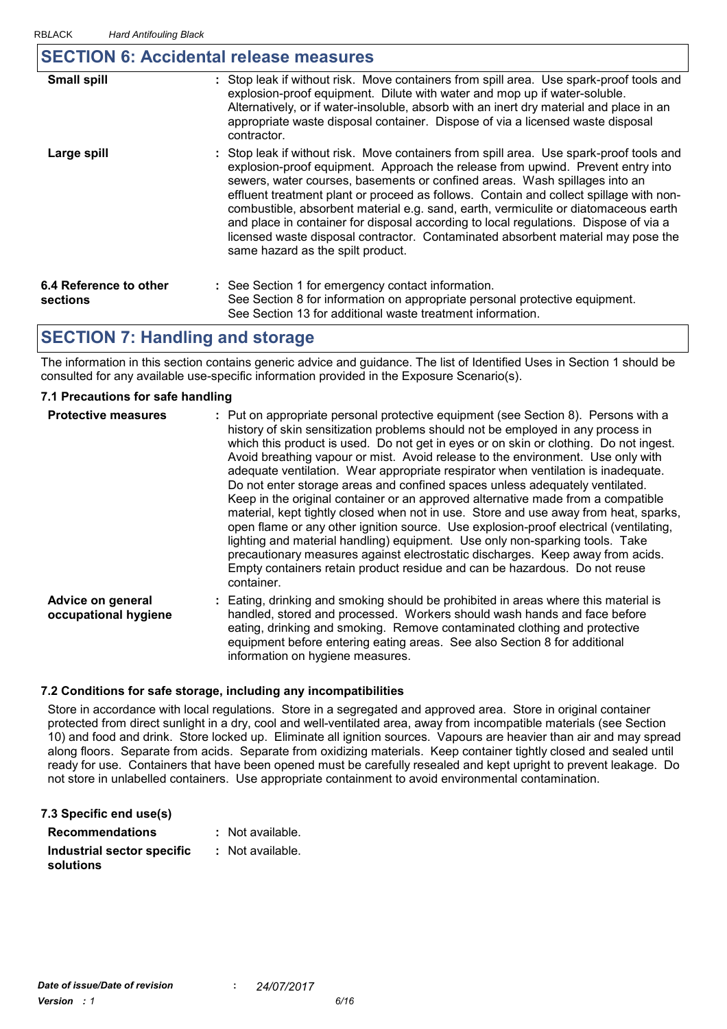### **SECTION 6: Accidental release measures**

| <b>Small spill</b>                 | : Stop leak if without risk. Move containers from spill area. Use spark-proof tools and<br>explosion-proof equipment. Dilute with water and mop up if water-soluble.<br>Alternatively, or if water-insoluble, absorb with an inert dry material and place in an<br>appropriate waste disposal container. Dispose of via a licensed waste disposal<br>contractor.                                                                                                                                                                                                                                                                                           |
|------------------------------------|------------------------------------------------------------------------------------------------------------------------------------------------------------------------------------------------------------------------------------------------------------------------------------------------------------------------------------------------------------------------------------------------------------------------------------------------------------------------------------------------------------------------------------------------------------------------------------------------------------------------------------------------------------|
| Large spill                        | : Stop leak if without risk. Move containers from spill area. Use spark-proof tools and<br>explosion-proof equipment. Approach the release from upwind. Prevent entry into<br>sewers, water courses, basements or confined areas. Wash spillages into an<br>effluent treatment plant or proceed as follows. Contain and collect spillage with non-<br>combustible, absorbent material e.g. sand, earth, vermiculite or diatomaceous earth<br>and place in container for disposal according to local regulations. Dispose of via a<br>licensed waste disposal contractor. Contaminated absorbent material may pose the<br>same hazard as the spilt product. |
| 6.4 Reference to other<br>sections | : See Section 1 for emergency contact information.<br>See Section 8 for information on appropriate personal protective equipment.<br>See Section 13 for additional waste treatment information.                                                                                                                                                                                                                                                                                                                                                                                                                                                            |

### **SECTION 7: Handling and storage**

The information in this section contains generic advice and guidance. The list of Identified Uses in Section 1 should be consulted for any available use-specific information provided in the Exposure Scenario(s).

#### **7.1 Precautions for safe handling**

| <b>Protective measures</b>                | : Put on appropriate personal protective equipment (see Section 8). Persons with a<br>history of skin sensitization problems should not be employed in any process in<br>which this product is used. Do not get in eyes or on skin or clothing. Do not ingest.<br>Avoid breathing vapour or mist. Avoid release to the environment. Use only with<br>adequate ventilation. Wear appropriate respirator when ventilation is inadequate.<br>Do not enter storage areas and confined spaces unless adequately ventilated.<br>Keep in the original container or an approved alternative made from a compatible<br>material, kept tightly closed when not in use. Store and use away from heat, sparks,<br>open flame or any other ignition source. Use explosion-proof electrical (ventilating,<br>lighting and material handling) equipment. Use only non-sparking tools. Take<br>precautionary measures against electrostatic discharges. Keep away from acids.<br>Empty containers retain product residue and can be hazardous. Do not reuse<br>container. |
|-------------------------------------------|-----------------------------------------------------------------------------------------------------------------------------------------------------------------------------------------------------------------------------------------------------------------------------------------------------------------------------------------------------------------------------------------------------------------------------------------------------------------------------------------------------------------------------------------------------------------------------------------------------------------------------------------------------------------------------------------------------------------------------------------------------------------------------------------------------------------------------------------------------------------------------------------------------------------------------------------------------------------------------------------------------------------------------------------------------------|
| Advice on general<br>occupational hygiene | : Eating, drinking and smoking should be prohibited in areas where this material is<br>handled, stored and processed. Workers should wash hands and face before<br>eating, drinking and smoking. Remove contaminated clothing and protective<br>equipment before entering eating areas. See also Section 8 for additional<br>information on hygiene measures.                                                                                                                                                                                                                                                                                                                                                                                                                                                                                                                                                                                                                                                                                             |

#### **7.2 Conditions for safe storage, including any incompatibilities**

Store in accordance with local regulations. Store in a segregated and approved area. Store in original container protected from direct sunlight in a dry, cool and well-ventilated area, away from incompatible materials (see Section 11) and food and state storage, including any incompatibilities<br>10) Store in accordance with local regulations. Store in a segregated and approved area. Store in original container<br>10) and food and drink. Store locked up. along floors. Separate from acids. Separate from oxidizing materials. Keep container tightly closed and sealed until ready for use. Containers that have been opened must be carefully resealed and kept upright to prevent leakage. Do not store in unlabelled containers. Use appropriate containment to avoid environmental contamination.

| 7.3 Specific end use(s)                 |                  |
|-----------------------------------------|------------------|
| <b>Recommendations</b>                  | : Not available. |
| Industrial sector specific<br>solutions | : Not available. |
|                                         |                  |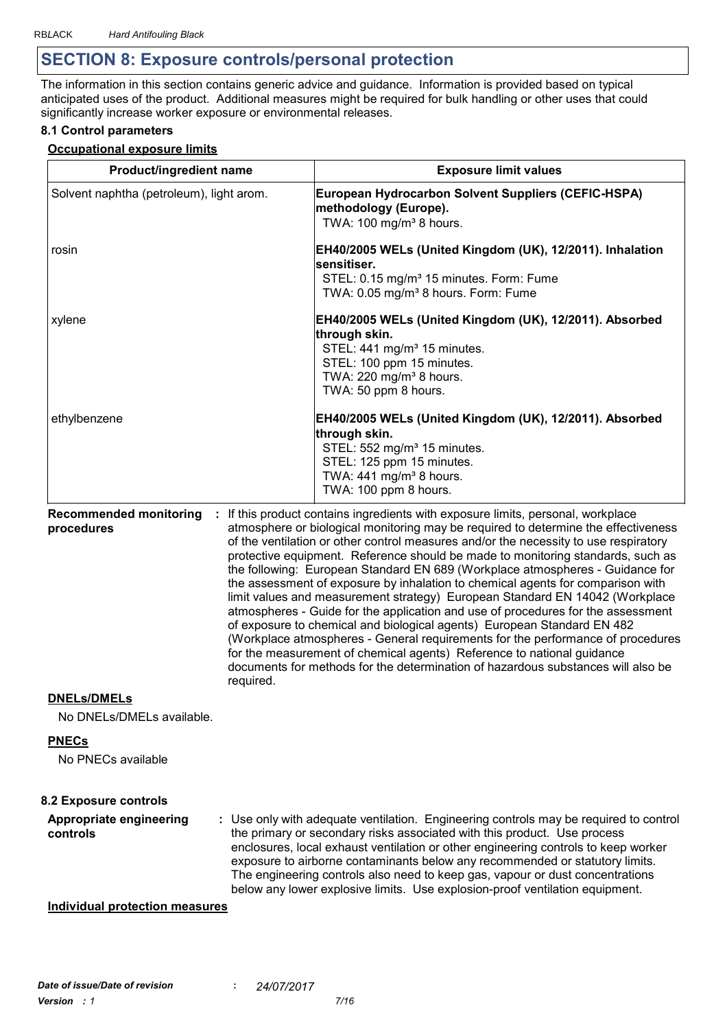# **SECTION 8: Exposure controls/personal protection**

The information in this section contains generic advice and guidance. Information is provided based on typical anticipated uses of the product. Additional measures might be required for bulk handling or other uses that could significantly increase worker exposure or environmental releases.

#### **8.1 Control parameters**

#### **Occupational exposure limits**

| Product/ingredient name                         |           | <b>Exposure limit values</b>                                                                                                                                                                                                                                                                                                                                                                                                                                                                                                                                                                                                                                                                                                                                                                                                                                                                                                                                                                                          |
|-------------------------------------------------|-----------|-----------------------------------------------------------------------------------------------------------------------------------------------------------------------------------------------------------------------------------------------------------------------------------------------------------------------------------------------------------------------------------------------------------------------------------------------------------------------------------------------------------------------------------------------------------------------------------------------------------------------------------------------------------------------------------------------------------------------------------------------------------------------------------------------------------------------------------------------------------------------------------------------------------------------------------------------------------------------------------------------------------------------|
| Solvent naphtha (petroleum), light arom.        |           | European Hydrocarbon Solvent Suppliers (CEFIC-HSPA)<br>methodology (Europe).<br>TWA: 100 mg/m <sup>3</sup> 8 hours.                                                                                                                                                                                                                                                                                                                                                                                                                                                                                                                                                                                                                                                                                                                                                                                                                                                                                                   |
| rosin                                           |           | EH40/2005 WELs (United Kingdom (UK), 12/2011). Inhalation<br>sensitiser.<br>STEL: 0.15 mg/m <sup>3</sup> 15 minutes. Form: Fume<br>TWA: 0.05 mg/m <sup>3</sup> 8 hours. Form: Fume                                                                                                                                                                                                                                                                                                                                                                                                                                                                                                                                                                                                                                                                                                                                                                                                                                    |
| xylene                                          |           | EH40/2005 WELs (United Kingdom (UK), 12/2011). Absorbed<br>through skin.<br>STEL: 441 mg/m <sup>3</sup> 15 minutes.<br>STEL: 100 ppm 15 minutes.<br>TWA: 220 mg/m <sup>3</sup> 8 hours.<br>TWA: 50 ppm 8 hours.                                                                                                                                                                                                                                                                                                                                                                                                                                                                                                                                                                                                                                                                                                                                                                                                       |
| ethylbenzene                                    |           | EH40/2005 WELs (United Kingdom (UK), 12/2011). Absorbed<br>through skin.<br>STEL: 552 mg/m <sup>3</sup> 15 minutes.<br>STEL: 125 ppm 15 minutes.<br>TWA: 441 mg/m <sup>3</sup> 8 hours.<br>TWA: 100 ppm 8 hours.                                                                                                                                                                                                                                                                                                                                                                                                                                                                                                                                                                                                                                                                                                                                                                                                      |
| <b>Recommended monitoring</b><br>procedures     | required. | : If this product contains ingredients with exposure limits, personal, workplace<br>atmosphere or biological monitoring may be required to determine the effectiveness<br>of the ventilation or other control measures and/or the necessity to use respiratory<br>protective equipment. Reference should be made to monitoring standards, such as<br>the following: European Standard EN 689 (Workplace atmospheres - Guidance for<br>the assessment of exposure by inhalation to chemical agents for comparison with<br>limit values and measurement strategy) European Standard EN 14042 (Workplace<br>atmospheres - Guide for the application and use of procedures for the assessment<br>of exposure to chemical and biological agents) European Standard EN 482<br>(Workplace atmospheres - General requirements for the performance of procedures<br>for the measurement of chemical agents) Reference to national guidance<br>documents for methods for the determination of hazardous substances will also be |
| <b>DNELs/DMELs</b><br>No DNELs/DMELs available. |           |                                                                                                                                                                                                                                                                                                                                                                                                                                                                                                                                                                                                                                                                                                                                                                                                                                                                                                                                                                                                                       |
| <b>PNECs</b><br>No PNECs available              |           |                                                                                                                                                                                                                                                                                                                                                                                                                                                                                                                                                                                                                                                                                                                                                                                                                                                                                                                                                                                                                       |
| <b>8.2 Exposure controls</b>                    |           |                                                                                                                                                                                                                                                                                                                                                                                                                                                                                                                                                                                                                                                                                                                                                                                                                                                                                                                                                                                                                       |
| Appropriate engineering<br>controls             |           | : Use only with adequate ventilation. Engineering controls may be required to control<br>the primary or secondary risks associated with this product. Use process<br>enclosures, local exhaust ventilation or other engineering controls to keep worker<br>exposure to airborne contaminants below any recommended or statutory limits.<br>The engineering controls also need to keep gas, vapour or dust concentrations<br>below any lower explosive limits. Use explosion-proof ventilation equipment.                                                                                                                                                                                                                                                                                                                                                                                                                                                                                                              |
| <b>Individual protection measures</b>           |           |                                                                                                                                                                                                                                                                                                                                                                                                                                                                                                                                                                                                                                                                                                                                                                                                                                                                                                                                                                                                                       |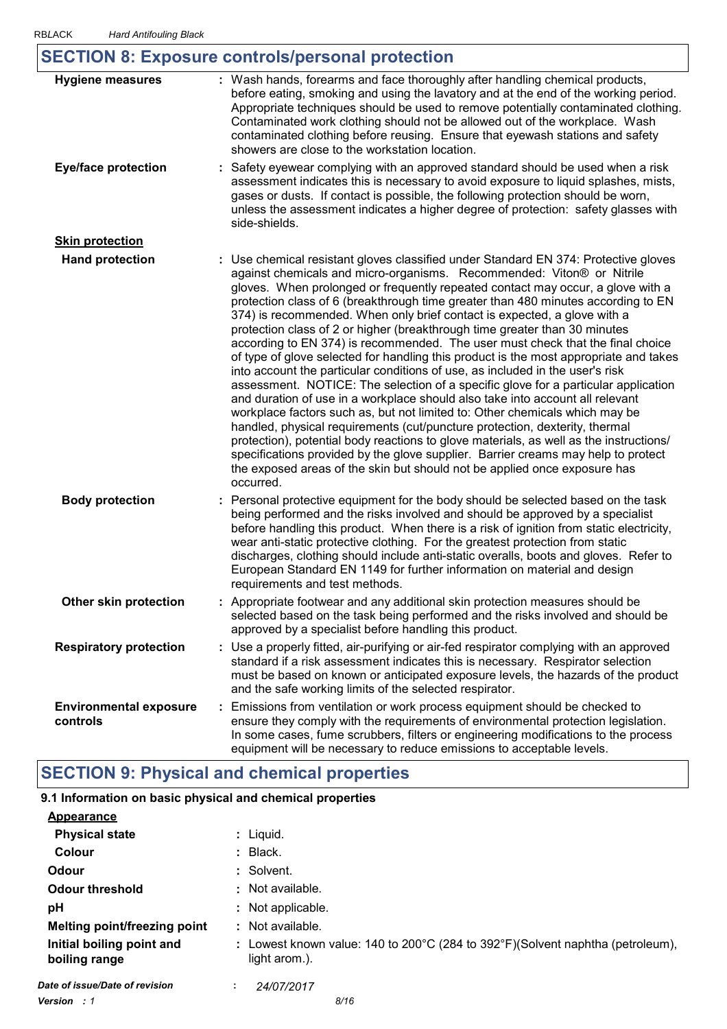| <b>Hygiene measures</b>                   | : Wash hands, forearms and face thoroughly after handling chemical products,                                                                                                                                                                                                                                                                                                                                                                                                                                                                                                                                                                                                                                                                                                                                                                                                                                                                                                                                                                                                                                                                                                                                                                                                                                                                                             |
|-------------------------------------------|--------------------------------------------------------------------------------------------------------------------------------------------------------------------------------------------------------------------------------------------------------------------------------------------------------------------------------------------------------------------------------------------------------------------------------------------------------------------------------------------------------------------------------------------------------------------------------------------------------------------------------------------------------------------------------------------------------------------------------------------------------------------------------------------------------------------------------------------------------------------------------------------------------------------------------------------------------------------------------------------------------------------------------------------------------------------------------------------------------------------------------------------------------------------------------------------------------------------------------------------------------------------------------------------------------------------------------------------------------------------------|
|                                           | before eating, smoking and using the lavatory and at the end of the working period.<br>Appropriate techniques should be used to remove potentially contaminated clothing.<br>Contaminated work clothing should not be allowed out of the workplace. Wash<br>contaminated clothing before reusing. Ensure that eyewash stations and safety<br>showers are close to the workstation location.                                                                                                                                                                                                                                                                                                                                                                                                                                                                                                                                                                                                                                                                                                                                                                                                                                                                                                                                                                              |
| <b>Eye/face protection</b>                | : Safety eyewear complying with an approved standard should be used when a risk<br>assessment indicates this is necessary to avoid exposure to liquid splashes, mists,<br>gases or dusts. If contact is possible, the following protection should be worn,<br>unless the assessment indicates a higher degree of protection: safety glasses with<br>side-shields.                                                                                                                                                                                                                                                                                                                                                                                                                                                                                                                                                                                                                                                                                                                                                                                                                                                                                                                                                                                                        |
| <b>Skin protection</b>                    |                                                                                                                                                                                                                                                                                                                                                                                                                                                                                                                                                                                                                                                                                                                                                                                                                                                                                                                                                                                                                                                                                                                                                                                                                                                                                                                                                                          |
| <b>Hand protection</b>                    | : Use chemical resistant gloves classified under Standard EN 374: Protective gloves<br>against chemicals and micro-organisms. Recommended: Viton® or Nitrile<br>gloves. When prolonged or frequently repeated contact may occur, a glove with a<br>protection class of 6 (breakthrough time greater than 480 minutes according to EN<br>374) is recommended. When only brief contact is expected, a glove with a<br>protection class of 2 or higher (breakthrough time greater than 30 minutes<br>according to EN 374) is recommended. The user must check that the final choice<br>of type of glove selected for handling this product is the most appropriate and takes<br>into account the particular conditions of use, as included in the user's risk<br>assessment. NOTICE: The selection of a specific glove for a particular application<br>and duration of use in a workplace should also take into account all relevant<br>workplace factors such as, but not limited to: Other chemicals which may be<br>handled, physical requirements (cut/puncture protection, dexterity, thermal<br>protection), potential body reactions to glove materials, as well as the instructions/<br>specifications provided by the glove supplier. Barrier creams may help to protect<br>the exposed areas of the skin but should not be applied once exposure has<br>occurred. |
| <b>Body protection</b>                    | : Personal protective equipment for the body should be selected based on the task<br>being performed and the risks involved and should be approved by a specialist<br>before handling this product. When there is a risk of ignition from static electricity,<br>wear anti-static protective clothing. For the greatest protection from static<br>discharges, clothing should include anti-static overalls, boots and gloves. Refer to<br>European Standard EN 1149 for further information on material and design<br>requirements and test methods.                                                                                                                                                                                                                                                                                                                                                                                                                                                                                                                                                                                                                                                                                                                                                                                                                     |
| Other skin protection                     | : Appropriate footwear and any additional skin protection measures should be<br>selected based on the task being performed and the risks involved and should be<br>approved by a specialist before handling this product.                                                                                                                                                                                                                                                                                                                                                                                                                                                                                                                                                                                                                                                                                                                                                                                                                                                                                                                                                                                                                                                                                                                                                |
| <b>Respiratory protection</b>             | : Use a properly fitted, air-purifying or air-fed respirator complying with an approved<br>standard if a risk assessment indicates this is necessary. Respirator selection<br>must be based on known or anticipated exposure levels, the hazards of the product<br>and the safe working limits of the selected respirator.                                                                                                                                                                                                                                                                                                                                                                                                                                                                                                                                                                                                                                                                                                                                                                                                                                                                                                                                                                                                                                               |
| <b>Environmental exposure</b><br>controls | Emissions from ventilation or work process equipment should be checked to<br>ensure they comply with the requirements of environmental protection legislation.<br>In some cases, fume scrubbers, filters or engineering modifications to the process<br>equipment will be necessary to reduce emissions to acceptable levels.                                                                                                                                                                                                                                                                                                                                                                                                                                                                                                                                                                                                                                                                                                                                                                                                                                                                                                                                                                                                                                            |

# **SECTION 9: Physical and chemical properties**

## **9.1 Information on basic physical and chemical properties**

| <b>Appearance</b>                          |                                                                                                                     |
|--------------------------------------------|---------------------------------------------------------------------------------------------------------------------|
| <b>Physical state</b>                      | : Liquid.                                                                                                           |
| Colour                                     | $:$ Black.                                                                                                          |
| Odour                                      | : Solvent.                                                                                                          |
| <b>Odour threshold</b>                     | : Not available.                                                                                                    |
| рH                                         | : Not applicable.                                                                                                   |
| <b>Melting point/freezing point</b>        | : Not available.                                                                                                    |
| Initial boiling point and<br>boiling range | : Lowest known value: 140 to 200 $\degree$ C (284 to 392 $\degree$ F)(Solvent naphtha (petroleum),<br>light arom.). |
| Date of issue/Date of revision             | 24/07/2017<br>÷                                                                                                     |
| <b>Version</b> : 1                         | 8/16                                                                                                                |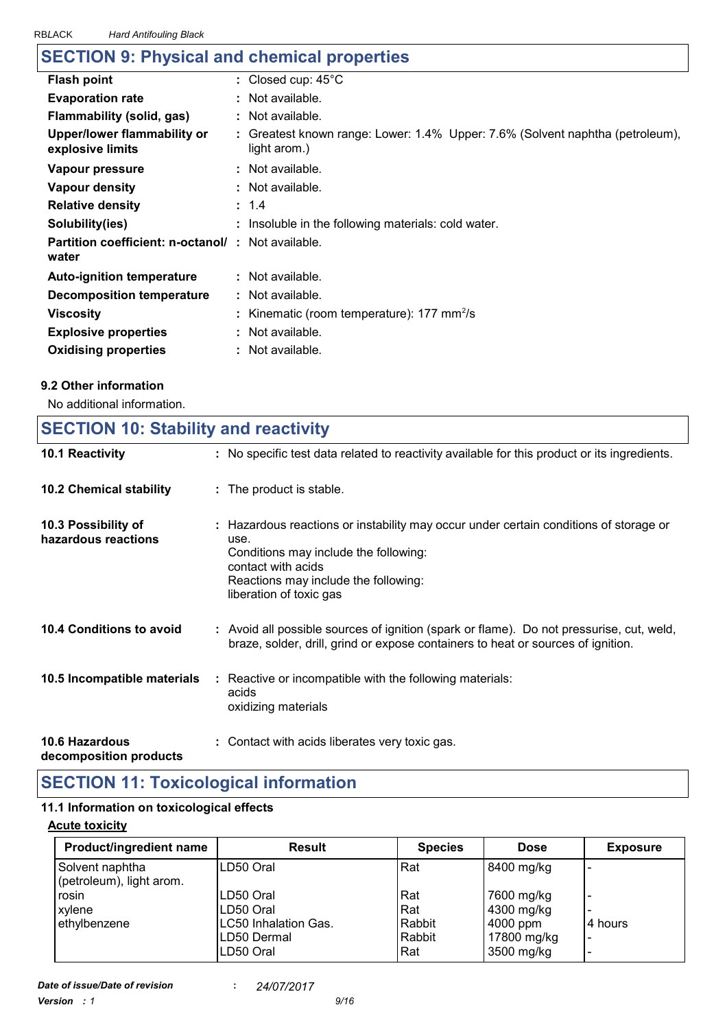| whom<br><i>Hard Americaning Diack</i>                              |                                                                                             |
|--------------------------------------------------------------------|---------------------------------------------------------------------------------------------|
| <b>SECTION 9: Physical and chemical properties</b>                 |                                                                                             |
| <b>Flash point</b>                                                 | : Closed cup: $45^{\circ}$ C                                                                |
| <b>Evaporation rate</b>                                            | $:$ Not available.                                                                          |
| <b>Flammability (solid, gas)</b>                                   | : Not available.                                                                            |
| Upper/lower flammability or<br>explosive limits                    | Greatest known range: Lower: 1.4% Upper: 7.6% (Solvent naphtha (petroleum),<br>light arom.) |
| Vapour pressure                                                    | : Not available.                                                                            |
| Vapour density                                                     | $:$ Not available.                                                                          |
| <b>Relative density</b>                                            | : 1.4                                                                                       |
| Solubility(ies)                                                    | : Insoluble in the following materials: cold water.                                         |
| <b>Partition coefficient: n-octanol/ : Not available.</b><br>water |                                                                                             |
| <b>Auto-ignition temperature</b>                                   | $:$ Not available.                                                                          |
| <b>Decomposition temperature</b>                                   | : Not available.                                                                            |
| <b>Viscosity</b>                                                   | : Kinematic (room temperature): $177 \text{ mm}^2/\text{s}$                                 |
| <b>Explosive properties</b>                                        | : Not available.                                                                            |

### **9.2 Other information**

No additional information.

# **SECTION 10: Stability and reactivity**

**Oxidising properties :** Not available.

| 10.1 Reactivity                            | : No specific test data related to reactivity available for this product or its ingredients.                                                                                                                                    |
|--------------------------------------------|---------------------------------------------------------------------------------------------------------------------------------------------------------------------------------------------------------------------------------|
| <b>10.2 Chemical stability</b>             | : The product is stable.                                                                                                                                                                                                        |
| 10.3 Possibility of<br>hazardous reactions | : Hazardous reactions or instability may occur under certain conditions of storage or<br>use.<br>Conditions may include the following:<br>contact with acids<br>Reactions may include the following:<br>liberation of toxic gas |
| 10.4 Conditions to avoid                   | : Avoid all possible sources of ignition (spark or flame). Do not pressurise, cut, weld,<br>braze, solder, drill, grind or expose containers to heat or sources of ignition.                                                    |
| 10.5 Incompatible materials                | : Reactive or incompatible with the following materials:<br>acids<br>oxidizing materials                                                                                                                                        |
| <b>10.6 Hazardous</b>                      | : Contact with acids liberates very toxic gas.                                                                                                                                                                                  |

**decomposition products**

# **SECTION 11: Toxicological information**

#### **11.1 Information on toxicological effects**

#### **Acute toxicity**

| Product/ingredient name                     | <b>Result</b>        | <b>Species</b> | <b>Dose</b> | <b>Exposure</b> |
|---------------------------------------------|----------------------|----------------|-------------|-----------------|
| Solvent naphtha<br>(petroleum), light arom. | ILD50 Oral           | Rat            | 8400 mg/kg  |                 |
| rosin                                       | LD50 Oral            | Rat            | 7600 mg/kg  |                 |
| xylene                                      | LD50 Oral            | Rat            | 4300 mg/kg  |                 |
| ethylbenzene                                | LC50 Inhalation Gas. | Rabbit         | 4000 ppm    | 4 hours         |
|                                             | ILD50 Dermal         | Rabbit         | 17800 mg/kg | -               |
|                                             | ILD50 Oral           | Rat            | 3500 mg/kg  |                 |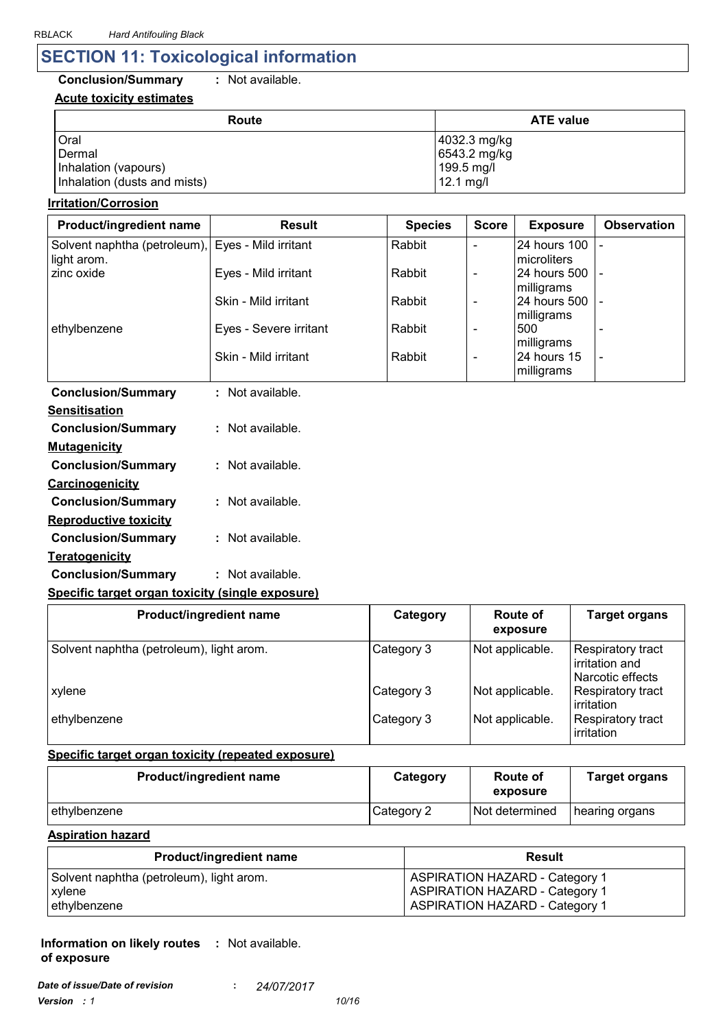# **SECTION 11: Toxicological information**

### **Conclusion/Summary :** Not available.

#### **Acute toxicity estimates**

| Route                        | <b>ATE value</b>      |
|------------------------------|-----------------------|
| Oral                         | 4032.3 mg/kg          |
| Dermal                       | 6543.2 mg/kg          |
| Inhalation (vapours)         | 199.5 mg/l            |
| Inhalation (dusts and mists) | $ 12.1 \text{ mg}/I $ |

#### **Irritation/Corrosion**

| <b>Product/ingredient name</b>                                   | <b>Result</b>          | <b>Species</b> | <b>Score</b>             | <b>Exposure</b>                  | <b>Observation</b> |
|------------------------------------------------------------------|------------------------|----------------|--------------------------|----------------------------------|--------------------|
| Solvent naphtha (petroleum), Eyes - Mild irritant<br>light arom. |                        | Rabbit         |                          | 24 hours 100   -<br>Imicroliters |                    |
| zinc oxide                                                       | Eyes - Mild irritant   | Rabbit         |                          | I24 hours 500 I -<br>milligrams  |                    |
|                                                                  | Skin - Mild irritant   | Rabbit         | $\qquad \qquad$          | 24 hours 500   -<br>milligrams   |                    |
| ethylbenzene                                                     | Eyes - Severe irritant | Rabbit         | $\overline{\phantom{0}}$ | 500<br>milligrams                |                    |
|                                                                  | Skin - Mild irritant   | Rabbit         | $\overline{\phantom{0}}$ | 24 hours 15<br>milligrams        |                    |

| <b>Conclusion/Summary</b>    | : Not available. |
|------------------------------|------------------|
| Sensitisation                |                  |
| <b>Conclusion/Summary</b>    | Not available.   |
| <u>Mutagenicity</u>          |                  |
| <b>Conclusion/Summary</b>    | : Not available. |
| <b>Carcinogenicity</b>       |                  |
| <b>Conclusion/Summary</b>    | : Not available. |
| <b>Reproductive toxicity</b> |                  |
| <b>Conclusion/Summary</b>    | : Not available. |
| <b>Teratogenicity</b>        |                  |
| <b>Conclusion/Summary</b>    | : Not available. |

#### **Specific target organ toxicity (single exposure)**

| Product/ingredient name                  | Category   | <b>Route of</b><br>exposure | <b>Target organs</b>                                               |
|------------------------------------------|------------|-----------------------------|--------------------------------------------------------------------|
| Solvent naphtha (petroleum), light arom. | Category 3 | Not applicable.             | <b>Respiratory tract</b><br>l irritation and<br>l Narcotic effects |
| xylene                                   | Category 3 | Not applicable.             | <b>Respiratory tract</b><br>irritation                             |
| ethylbenzene                             | Category 3 | Not applicable.             | Respiratory tract<br>irritation                                    |

#### **Specific target organ toxicity (repeated exposure)**

| <b>Product/ingredient name</b> | Category   | Route of<br>exposure | <b>Target organs</b> |
|--------------------------------|------------|----------------------|----------------------|
| ethylbenzene                   | Category 2 | Not determined       | hearing organs       |

**Aspiration hazard**

| <b>Product/ingredient name</b>           | Result                                |
|------------------------------------------|---------------------------------------|
| Solvent naphtha (petroleum), light arom. | <b>ASPIRATION HAZARD - Category 1</b> |
| xylene                                   | <b>ASPIRATION HAZARD - Category 1</b> |
| ethylbenzene                             | <b>ASPIRATION HAZARD - Category 1</b> |

#### **Information on likely routes : Not available. of exposure**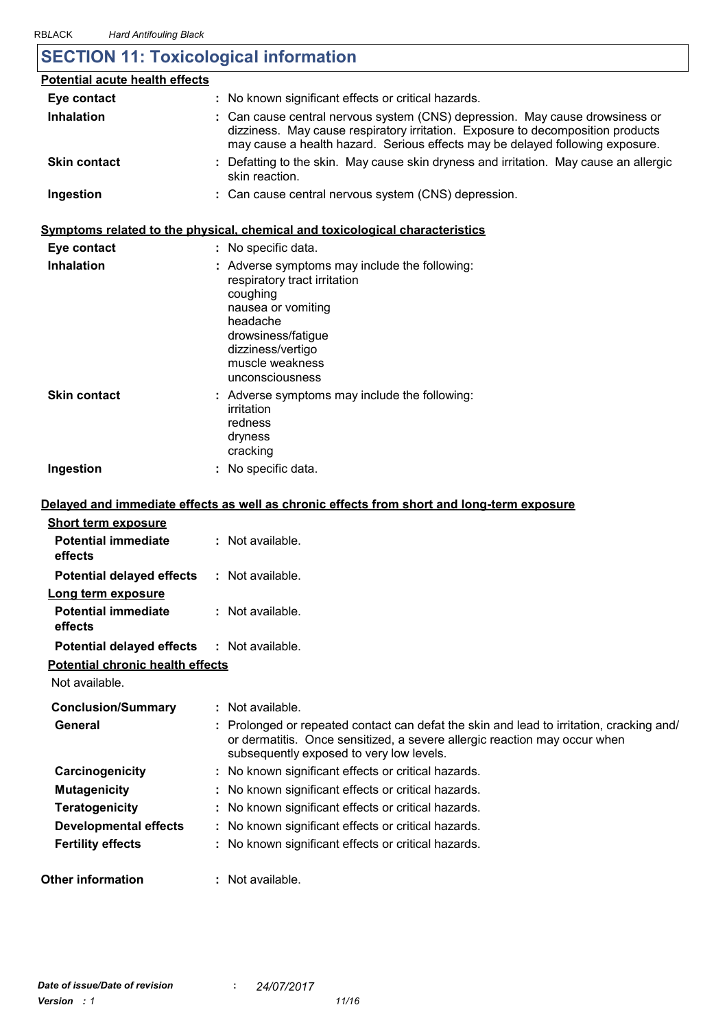# **SECTION 11: Toxicological information**

| <b>Potential acute health effects</b> |                                                                                                                                                                                                                                                  |
|---------------------------------------|--------------------------------------------------------------------------------------------------------------------------------------------------------------------------------------------------------------------------------------------------|
| Eye contact                           | : No known significant effects or critical hazards.                                                                                                                                                                                              |
| <b>Inhalation</b>                     | : Can cause central nervous system (CNS) depression. May cause drowsiness or<br>dizziness. May cause respiratory irritation. Exposure to decomposition products<br>may cause a health hazard. Serious effects may be delayed following exposure. |
| <b>Skin contact</b>                   | : Defatting to the skin. May cause skin dryness and irritation. May cause an allergic<br>skin reaction.                                                                                                                                          |
| Ingestion                             | : Can cause central nervous system (CNS) depression.                                                                                                                                                                                             |

#### **Symptoms related to the physical, chemical and toxicological characteristics**

| Eye contact         | : No specific data.                                                                                                                                                                                          |
|---------------------|--------------------------------------------------------------------------------------------------------------------------------------------------------------------------------------------------------------|
| <b>Inhalation</b>   | : Adverse symptoms may include the following:<br>respiratory tract irritation<br>coughing<br>nausea or vomiting<br>headache<br>drowsiness/fatigue<br>dizziness/vertigo<br>muscle weakness<br>unconsciousness |
| <b>Skin contact</b> | : Adverse symptoms may include the following:<br>irritation<br>redness<br>dryness<br>cracking                                                                                                                |
| Ingestion           | : No specific data.                                                                                                                                                                                          |

#### **Delayed and immediate effects as well as chronic effects from short and long-term exposure**

| <b>Short term exposure</b>                        |                                                                                                                                                                                                                   |
|---------------------------------------------------|-------------------------------------------------------------------------------------------------------------------------------------------------------------------------------------------------------------------|
| <b>Potential immediate</b><br>effects             | $:$ Not available.                                                                                                                                                                                                |
| <b>Potential delayed effects</b>                  | $:$ Not available.                                                                                                                                                                                                |
| Long term exposure                                |                                                                                                                                                                                                                   |
| <b>Potential immediate</b><br>effects             | : Not available.                                                                                                                                                                                                  |
| <b>Potential delayed effects : Not available.</b> |                                                                                                                                                                                                                   |
| <b>Potential chronic health effects</b>           |                                                                                                                                                                                                                   |
| Not available.                                    |                                                                                                                                                                                                                   |
| <b>Conclusion/Summary</b>                         | : Not available.                                                                                                                                                                                                  |
| General                                           | : Prolonged or repeated contact can defat the skin and lead to irritation, cracking and/<br>or dermatitis. Once sensitized, a severe allergic reaction may occur when<br>subsequently exposed to very low levels. |
| Carcinogenicity                                   | : No known significant effects or critical hazards.                                                                                                                                                               |
| <b>Mutagenicity</b>                               | : No known significant effects or critical hazards.                                                                                                                                                               |
| <b>Teratogenicity</b>                             | : No known significant effects or critical hazards.                                                                                                                                                               |
| Developmental effects                             | : No known significant effects or critical hazards.                                                                                                                                                               |
| <b>Fertility effects</b>                          | : No known significant effects or critical hazards.                                                                                                                                                               |
| <b>Other information</b>                          | : Not available.                                                                                                                                                                                                  |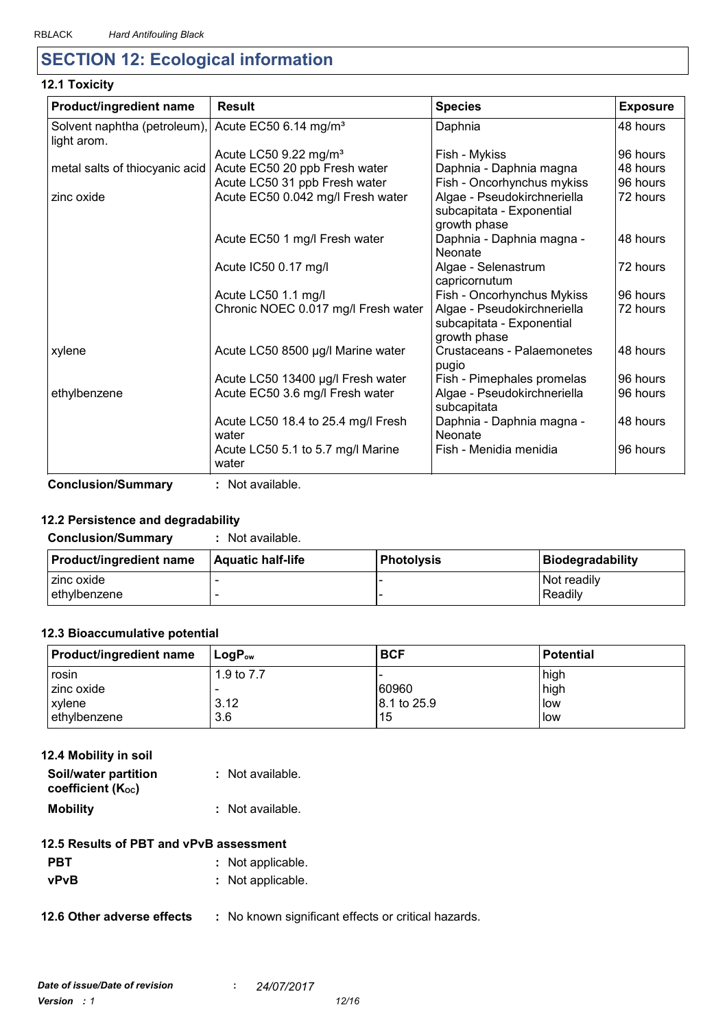# **SECTION 12: Ecological information**

#### **12.1 Toxicity**

| Product/ingredient name                     | <b>Result</b>                               | <b>Species</b>                                                           | <b>Exposure</b> |
|---------------------------------------------|---------------------------------------------|--------------------------------------------------------------------------|-----------------|
| Solvent naphtha (petroleum),<br>light arom. | Acute EC50 6.14 mg/m <sup>3</sup>           | Daphnia                                                                  | 48 hours        |
|                                             | Acute LC50 9.22 mg/m <sup>3</sup>           | Fish - Mykiss                                                            | 96 hours        |
| metal salts of thiocyanic acid              | Acute EC50 20 ppb Fresh water               | Daphnia - Daphnia magna                                                  | 48 hours        |
|                                             | Acute LC50 31 ppb Fresh water               | Fish - Oncorhynchus mykiss                                               | 96 hours        |
| zinc oxide                                  | Acute EC50 0.042 mg/l Fresh water           | Algae - Pseudokirchneriella<br>subcapitata - Exponential<br>growth phase | 72 hours        |
|                                             | Acute EC50 1 mg/l Fresh water               | Daphnia - Daphnia magna -<br>Neonate                                     | 48 hours        |
|                                             | Acute IC50 0.17 mg/l                        | Algae - Selenastrum<br>capricornutum                                     | 72 hours        |
|                                             | Acute LC50 1.1 mg/l                         | Fish - Oncorhynchus Mykiss                                               | 96 hours        |
|                                             | Chronic NOEC 0.017 mg/l Fresh water         | Algae - Pseudokirchneriella<br>subcapitata - Exponential<br>growth phase | 72 hours        |
| xylene                                      | Acute LC50 8500 µg/l Marine water           | Crustaceans - Palaemonetes<br>pugio                                      | 48 hours        |
|                                             | Acute LC50 13400 µg/l Fresh water           | Fish - Pimephales promelas                                               | 96 hours        |
| ethylbenzene                                | Acute EC50 3.6 mg/l Fresh water             | Algae - Pseudokirchneriella<br>subcapitata                               | 96 hours        |
|                                             | Acute LC50 18.4 to 25.4 mg/l Fresh<br>water | Daphnia - Daphnia magna -<br>Neonate                                     | 48 hours        |
|                                             | Acute LC50 5.1 to 5.7 mg/l Marine<br>water  | Fish - Menidia menidia                                                   | 96 hours        |

**Conclusion/Summary :** Not available.

#### **12.2 Persistence and degradability**

#### **Conclusion/Summary :** Not available.

| Product/ingredient name | <b>Aquatic half-life</b> | <b>Photolysis</b> | Biodegradability |
|-------------------------|--------------------------|-------------------|------------------|
| zinc oxide              |                          |                   | l Not readily    |
| l ethvlbenzene          |                          |                   | Readily          |

#### **12.3 Bioaccumulative potential**

| <b>Product/ingredient name</b> | $\mathsf{LogP}_\mathsf{ow}$ | <b>BCF</b>  | l Potential |
|--------------------------------|-----------------------------|-------------|-------------|
| rosin                          | 1.9 to 7.7                  |             | high        |
| zinc oxide                     |                             | 60960       | high        |
| xylene                         | 3.12                        | 8.1 to 25.9 | low         |
| ethylbenzene                   | 3.6                         | 15          | low         |

# **12.4 Mobility in soil**

| Soil/water partition   | : Not available. |
|------------------------|------------------|
| coefficient $(K_{oc})$ |                  |
| <b>Mobility</b>        | : Not available. |

#### **12.5 Results of PBT and vPvB assessment**

| <b>PBT</b>  | : Not applicable. |
|-------------|-------------------|
| <b>vPvB</b> | : Not applicable. |

**12.6 Other adverse effects** : No known significant effects or critical hazards.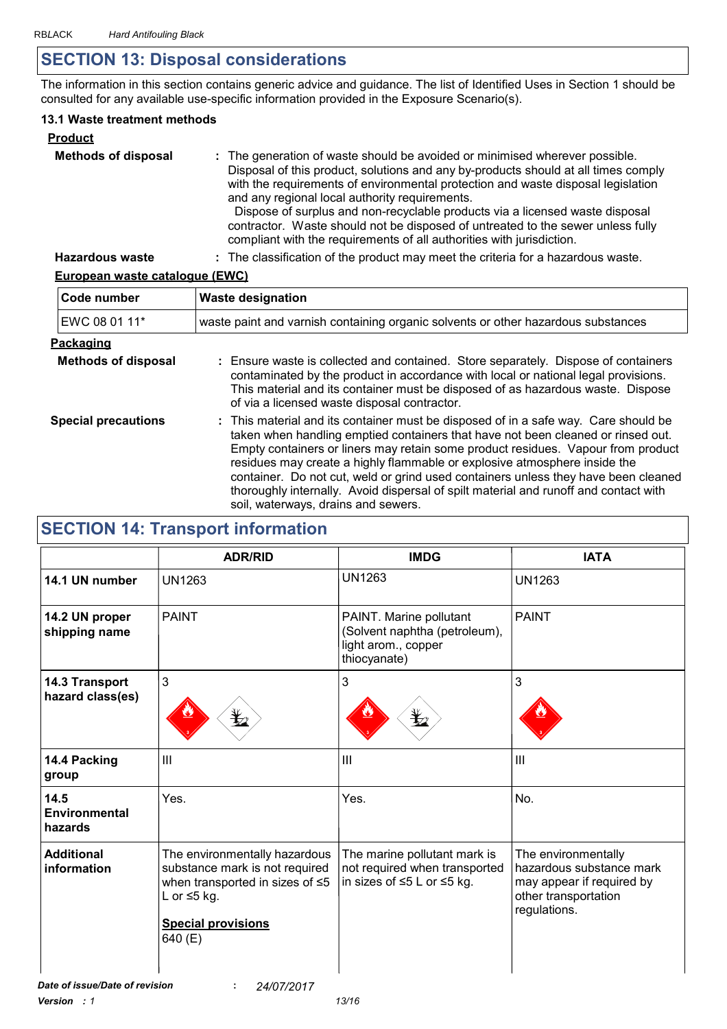# **SECTION 13: Disposal considerations**

The information in this section contains generic advice and guidance. The list of Identified Uses in Section 1 should be consulted for any available use-specific information provided in the Exposure Scenario(s).

#### **13.1 Waste treatment methods**

| <b>Product</b>             |                                                                                                                                                                                                                                                                                                                                                                                                                                                                                                                                                     |
|----------------------------|-----------------------------------------------------------------------------------------------------------------------------------------------------------------------------------------------------------------------------------------------------------------------------------------------------------------------------------------------------------------------------------------------------------------------------------------------------------------------------------------------------------------------------------------------------|
| <b>Methods of disposal</b> | : The generation of waste should be avoided or minimised wherever possible.<br>Disposal of this product, solutions and any by-products should at all times comply<br>with the requirements of environmental protection and waste disposal legislation<br>and any regional local authority requirements.<br>Dispose of surplus and non-recyclable products via a licensed waste disposal<br>contractor. Waste should not be disposed of untreated to the sewer unless fully<br>compliant with the requirements of all authorities with jurisdiction. |
| <b>Hazardous waste</b>     | : The classification of the product may meet the criteria for a hazardous waste.                                                                                                                                                                                                                                                                                                                                                                                                                                                                    |

#### **European waste catalogue (EWC)**

| Code number                | <b>Waste designation</b>                                                                                                                                                                                                                                                                                                                                                                                                                                                                                                                                      |  |  |
|----------------------------|---------------------------------------------------------------------------------------------------------------------------------------------------------------------------------------------------------------------------------------------------------------------------------------------------------------------------------------------------------------------------------------------------------------------------------------------------------------------------------------------------------------------------------------------------------------|--|--|
| EWC 08 01 11*              | waste paint and varnish containing organic solvents or other hazardous substances                                                                                                                                                                                                                                                                                                                                                                                                                                                                             |  |  |
| <u>Packaging</u>           |                                                                                                                                                                                                                                                                                                                                                                                                                                                                                                                                                               |  |  |
| <b>Methods of disposal</b> | : Ensure waste is collected and contained. Store separately. Dispose of containers<br>contaminated by the product in accordance with local or national legal provisions.<br>This material and its container must be disposed of as hazardous waste. Dispose<br>of via a licensed waste disposal contractor.                                                                                                                                                                                                                                                   |  |  |
| <b>Special precautions</b> | : This material and its container must be disposed of in a safe way. Care should be<br>taken when handling emptied containers that have not been cleaned or rinsed out.<br>Empty containers or liners may retain some product residues. Vapour from product<br>residues may create a highly flammable or explosive atmosphere inside the<br>container. Do not cut, weld or grind used containers unless they have been cleaned<br>thoroughly internally. Avoid dispersal of spilt material and runoff and contact with<br>soil, waterways, drains and sewers. |  |  |

# **SECTION 14: Transport information**

|                                           | <b>ADR/RID</b>                                                                                                                                                        | <b>IMDG</b>                                                                                     | <b>IATA</b>                                                                                                          |
|-------------------------------------------|-----------------------------------------------------------------------------------------------------------------------------------------------------------------------|-------------------------------------------------------------------------------------------------|----------------------------------------------------------------------------------------------------------------------|
| 14.1 UN number                            | <b>UN1263</b>                                                                                                                                                         | <b>UN1263</b>                                                                                   | <b>UN1263</b>                                                                                                        |
| 14.2 UN proper<br>shipping name           | <b>PAINT</b>                                                                                                                                                          | PAINT. Marine pollutant<br>(Solvent naphtha (petroleum),<br>light arom., copper<br>thiocyanate) | <b>PAINT</b>                                                                                                         |
| <b>14.3 Transport</b><br>hazard class(es) | $\mathbf{3}$                                                                                                                                                          | 3                                                                                               | 3                                                                                                                    |
| 14.4 Packing<br>group                     | III                                                                                                                                                                   | $\mathbf{III}$                                                                                  | III                                                                                                                  |
| 14.5<br><b>Environmental</b><br>hazards   | Yes.                                                                                                                                                                  | Yes.                                                                                            | No.                                                                                                                  |
| <b>Additional</b><br>information          | The environmentally hazardous<br>substance mark is not required<br>when transported in sizes of $\leq 5$<br>L or $\leq$ 5 kg.<br><b>Special provisions</b><br>640 (E) | The marine pollutant mark is<br>not required when transported<br>in sizes of ≤5 L or ≤5 kg.     | The environmentally<br>hazardous substance mark<br>may appear if required by<br>other transportation<br>regulations. |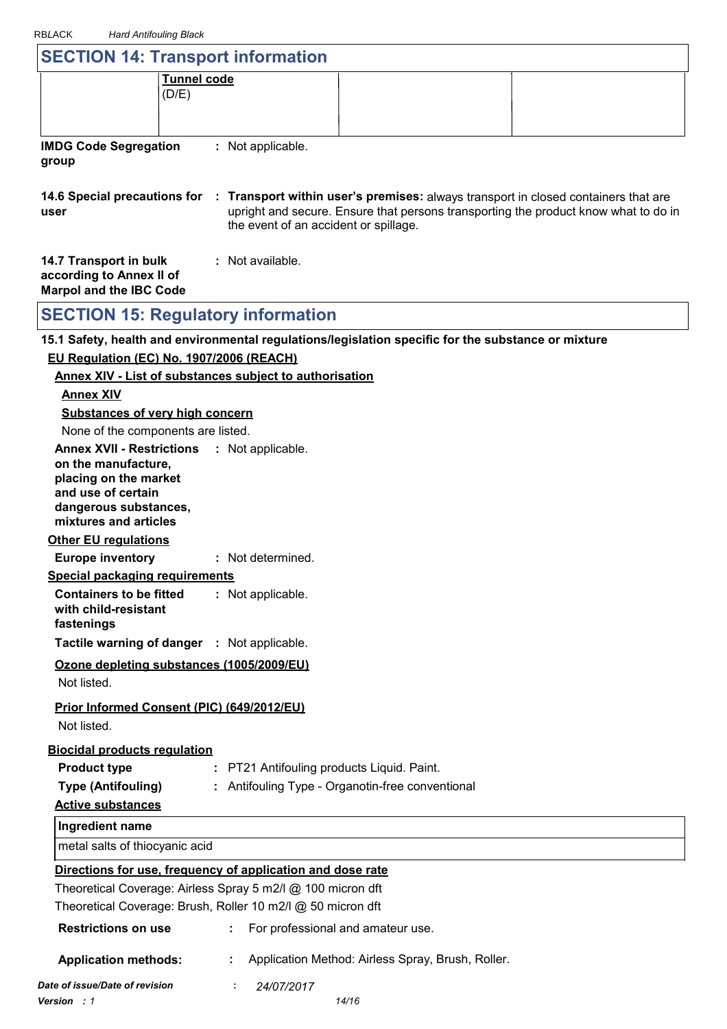| <b>RBLACK</b><br><b>Hard Antifouling Black</b>                                       |                                                                                                     |                                                                                                                                                                                                        |
|--------------------------------------------------------------------------------------|-----------------------------------------------------------------------------------------------------|--------------------------------------------------------------------------------------------------------------------------------------------------------------------------------------------------------|
|                                                                                      | <b>SECTION 14: Transport information</b>                                                            |                                                                                                                                                                                                        |
|                                                                                      | <b>Tunnel code</b><br>(D/E)                                                                         |                                                                                                                                                                                                        |
| <b>IMDG Code Segregation</b><br>group                                                | : Not applicable.                                                                                   |                                                                                                                                                                                                        |
| user                                                                                 | the event of an accident or spillage.                                                               | 14.6 Special precautions for : Transport within user's premises: always transport in closed containers that are<br>upright and secure. Ensure that persons transporting the product know what to do in |
| 14.7 Transport in bulk<br>according to Annex II of<br><b>Marpol and the IBC Code</b> | : Not available.                                                                                    |                                                                                                                                                                                                        |
|                                                                                      | <b>SECTION 15: Regulatory information</b>                                                           |                                                                                                                                                                                                        |
|                                                                                      | 15.1 Safety, health and environmental regulations/legislation specific for the substance or mixture |                                                                                                                                                                                                        |
|                                                                                      | EU Regulation (EC) No. 1907/2006 (REACH)                                                            |                                                                                                                                                                                                        |
|                                                                                      | <b>Annex XIV - List of substances subject to authorisation</b>                                      |                                                                                                                                                                                                        |
| <b>Annex XIV</b>                                                                     |                                                                                                     |                                                                                                                                                                                                        |
| <b>Substances of very high concern</b>                                               |                                                                                                     |                                                                                                                                                                                                        |
| None of the components are listed.                                                   |                                                                                                     |                                                                                                                                                                                                        |
| <b>Annex XVII - Restrictions</b>                                                     | : Not applicable.                                                                                   |                                                                                                                                                                                                        |
| on the manufacture,<br>placing on the market                                         |                                                                                                     |                                                                                                                                                                                                        |

**and use of certain dangerous substances, mixtures and articles**

#### **Other EU regulations**

**Europe inventory :** Not determined.

**Special packaging requirements**

**Containers to be fitted with child-resistant**  Not applicable. **:**

**fastenings**

**Tactile warning of danger : Not applicable.** 

**Ozone depleting substances (1005/2009/EU)**

Not listed.

**Prior Informed Consent (PIC) (649/2012/EU)**

Not listed.

#### **Biocidal products regulation**

| : PT21 Antifouling products Liquid. Paint.<br>Product type |  |
|------------------------------------------------------------|--|
|------------------------------------------------------------|--|

**Type (Antifouling)**

**:** Antifouling Type - Organotin-free conventional

### **Active substances**

**Ingredient name**

metal salts of thiocyanic acid

#### **Directions for use, frequency of application and dose rate**

Theoretical Coverage: Airless Spray 5 m2/l @ 100 micron dft Theoretical Coverage: Brush, Roller 10 m2/l @ 50 micron dft

| <b>Restrictions on use</b>     | : For professional and amateur use.                 |
|--------------------------------|-----------------------------------------------------|
| <b>Application methods:</b>    | : Application Method: Airless Spray, Brush, Roller. |
| Date of issue/Date of revision | 24/07/2017<br>÷.                                    |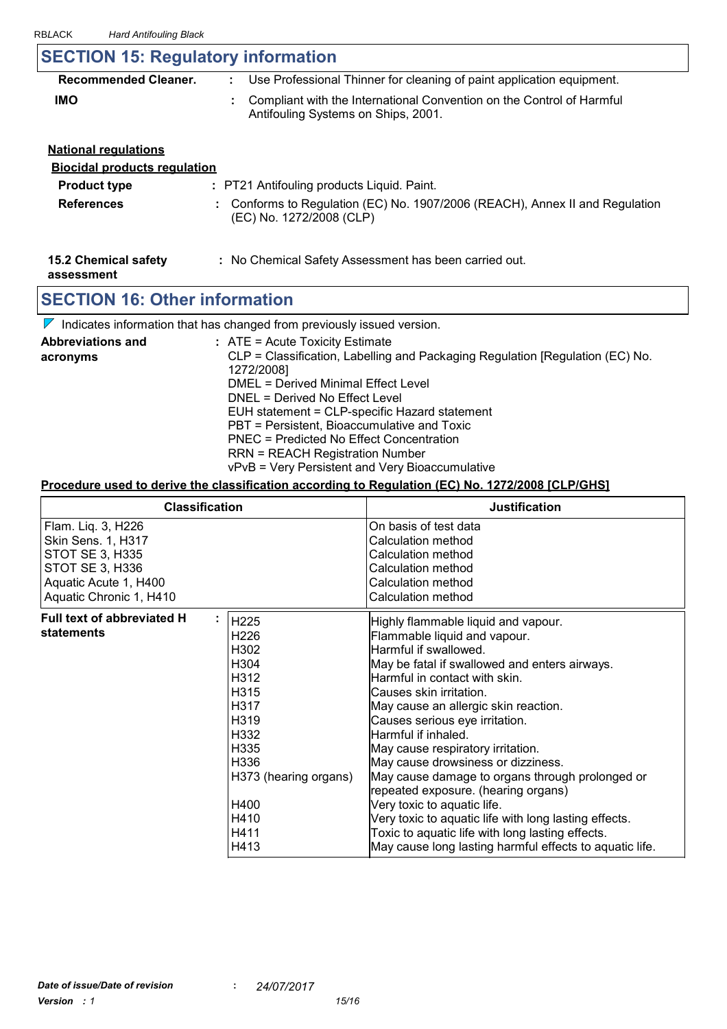# **SECTION 15: Regulatory information**

| <b>Recommended Cleaner.</b> | Use Professional Thinner for cleaning of paint application equipment.                                        |
|-----------------------------|--------------------------------------------------------------------------------------------------------------|
| <b>IMO</b>                  | Compliant with the International Convention on the Control of Harmful<br>Antifouling Systems on Ships, 2001. |

### **National regulations Biocidal products regulation Product type : PT21 Antifouling products Liquid. Paint.**

| <b>References</b> | : Conforms to Regulation (EC) No. 1907/2006 (REACH), Annex II and Regulation |
|-------------------|------------------------------------------------------------------------------|
|                   | (EC) No. 1272/2008 (CLP)                                                     |

- **15.2 Chemical safety**
- **:** No Chemical Safety Assessment has been carried out.

**assessment**

# **SECTION 16: Other information**

 $\nabla$  Indicates information that has changed from previously issued version.

| <b>Abbreviations and</b><br>acronyms | $:$ ATE = Acute Toxicity Estimate<br>CLP = Classification, Labelling and Packaging Regulation [Regulation (EC) No. |
|--------------------------------------|--------------------------------------------------------------------------------------------------------------------|
|                                      | 1272/2008]                                                                                                         |
|                                      | DMEL = Derived Minimal Effect Level                                                                                |
|                                      | DNEL = Derived No Effect Level                                                                                     |
|                                      | EUH statement = CLP-specific Hazard statement                                                                      |
|                                      | PBT = Persistent, Bioaccumulative and Toxic                                                                        |
|                                      | PNEC = Predicted No Effect Concentration                                                                           |
|                                      | <b>RRN = REACH Registration Number</b>                                                                             |
|                                      | vPvB = Very Persistent and Very Bioaccumulative                                                                    |

#### **Procedure used to derive the classification according to Regulation (EC) No. 1272/2008 [CLP/GHS]**

| <b>Classification</b>                                                                                                                            |                                                                                                                                                                                    | <b>Justification</b>                                                                                                                                                                                                                                                                                                                                                                                                                                                                                                                                                                                                                                                                   |
|--------------------------------------------------------------------------------------------------------------------------------------------------|------------------------------------------------------------------------------------------------------------------------------------------------------------------------------------|----------------------------------------------------------------------------------------------------------------------------------------------------------------------------------------------------------------------------------------------------------------------------------------------------------------------------------------------------------------------------------------------------------------------------------------------------------------------------------------------------------------------------------------------------------------------------------------------------------------------------------------------------------------------------------------|
| Flam. Liq. 3, H226<br><b>Skin Sens. 1, H317</b><br><b>STOT SE 3, H335</b><br>STOT SE 3, H336<br>Aquatic Acute 1, H400<br>Aquatic Chronic 1, H410 |                                                                                                                                                                                    | On basis of test data<br>Calculation method<br>Calculation method<br>Calculation method<br>Calculation method<br>Calculation method                                                                                                                                                                                                                                                                                                                                                                                                                                                                                                                                                    |
| Full text of abbreviated H<br>٠<br>statements                                                                                                    | H225<br>H <sub>226</sub><br>H302<br>H304<br>H312<br>H315<br>H317<br>H <sub>3</sub> 19<br>H332<br>H <sub>335</sub><br>H336<br>H373 (hearing organs)<br>H400<br>H410<br>H411<br>H413 | Highly flammable liquid and vapour.<br>Flammable liquid and vapour.<br>Harmful if swallowed.<br>May be fatal if swallowed and enters airways.<br>Harmful in contact with skin.<br>Causes skin irritation.<br>May cause an allergic skin reaction.<br>Causes serious eye irritation.<br>Harmful if inhaled.<br>May cause respiratory irritation.<br>May cause drowsiness or dizziness.<br>May cause damage to organs through prolonged or<br>repeated exposure. (hearing organs)<br>Very toxic to aquatic life.<br>Very toxic to aquatic life with long lasting effects.<br>Toxic to aquatic life with long lasting effects.<br>May cause long lasting harmful effects to aquatic life. |